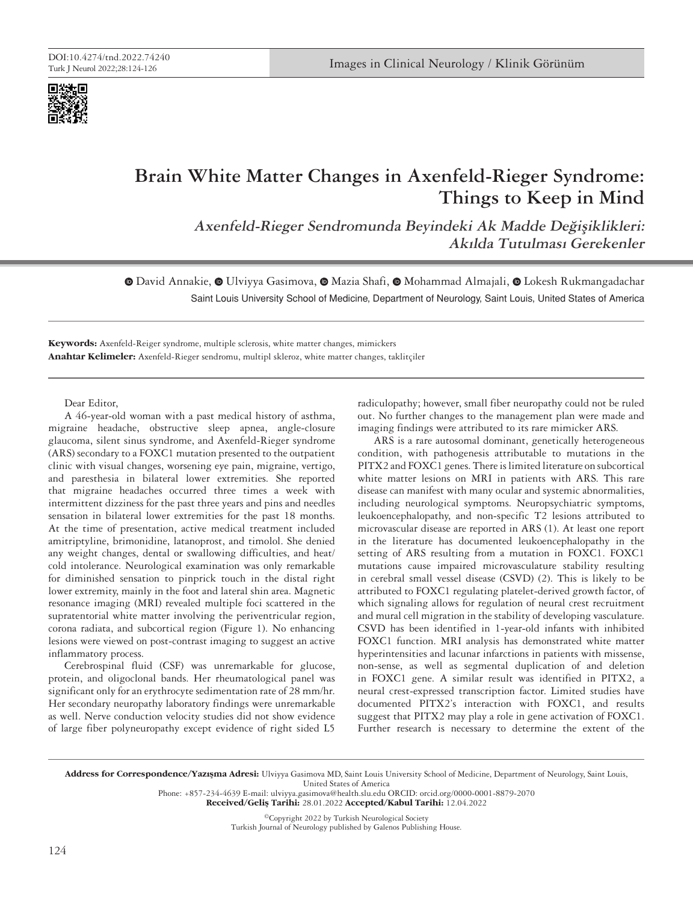

# **Brain White Matter Changes in Axenfeld-Rieger Syndrome: Things to Keep in Mind**

**Axenfeld-Rieger Sendromunda Beyindeki Ak Madde Değişiklikleri: Akılda Tutulması Gerekenler**

 $\odot$ David Annakie,  $\odot$  [U](https://orcid.org/0000-0001-8879-2070)lviyya Gasimova,  $\odot$  Mazia Shafi,  $\odot$  Mohammad Almajali,  $\odot$  Lokesh Rukmangadachar Saint Louis University School of Medicine, Department of Neurology, Saint Louis, United States of America

**Keywords:** Axenfeld-Reiger syndrome, multiple sclerosis, white matter changes, mimickers **Anahtar Kelimeler:** Axenfeld-Rieger sendromu, multipl skleroz, white matter changes, taklitçiler

Dear Editor,

A 46-year-old woman with a past medical history of asthma, migraine headache, obstructive sleep apnea, angle-closure glaucoma, silent sinus syndrome, and Axenfeld-Rieger syndrome (ARS) secondary to a FOXC1 mutation presented to the outpatient clinic with visual changes, worsening eye pain, migraine, vertigo, and paresthesia in bilateral lower extremities. She reported that migraine headaches occurred three times a week with intermittent dizziness for the past three years and pins and needles sensation in bilateral lower extremities for the past 18 months. At the time of presentation, active medical treatment included amitriptyline, brimonidine, latanoprost, and timolol. She denied any weight changes, dental or swallowing difficulties, and heat/ cold intolerance. Neurological examination was only remarkable for diminished sensation to pinprick touch in the distal right lower extremity, mainly in the foot and lateral shin area. Magnetic resonance imaging (MRI) revealed multiple foci scattered in the supratentorial white matter involving the periventricular region, corona radiata, and subcortical region (Figure 1). No enhancing lesions were viewed on post-contrast imaging to suggest an active inflammatory process.

Cerebrospinal fluid (CSF) was unremarkable for glucose, protein, and oligoclonal bands. Her rheumatological panel was significant only for an erythrocyte sedimentation rate of 28 mm/hr. Her secondary neuropathy laboratory findings were unremarkable as well. Nerve conduction velocity studies did not show evidence of large fiber polyneuropathy except evidence of right sided L5

radiculopathy; however, small fiber neuropathy could not be ruled out. No further changes to the management plan were made and imaging findings were attributed to its rare mimicker ARS.

ARS is a rare autosomal dominant, genetically heterogeneous condition, with pathogenesis attributable to mutations in the PITX2 and FOXC1 genes. There is limited literature on subcortical white matter lesions on MRI in patients with ARS. This rare disease can manifest with many ocular and systemic abnormalities, including neurological symptoms. Neuropsychiatric symptoms, leukoencephalopathy, and non-specific T2 lesions attributed to microvascular disease are reported in ARS (1). At least one report in the literature has documented leukoencephalopathy in the setting of ARS resulting from a mutation in FOXC1. FOXC1 mutations cause impaired microvasculature stability resulting in cerebral small vessel disease (CSVD) (2). This is likely to be attributed to FOXC1 regulating platelet-derived growth factor, of which signaling allows for regulation of neural crest recruitment and mural cell migration in the stability of developing vasculature. CSVD has been identified in 1-year-old infants with inhibited FOXC1 function. MRI analysis has demonstrated white matter hyperintensities and lacunar infarctions in patients with missense, non-sense, as well as segmental duplication of and deletion in FOXC1 gene. A similar result was identified in PITX2, a neural crest-expressed transcription factor. Limited studies have documented PITX2's interaction with FOXC1, and results suggest that PITX2 may play a role in gene activation of FOXC1. Further research is necessary to determine the extent of the

Address for Correspondence/Yazışma Adresi: Ulviyya Gasimova MD, Saint Louis University School of Medicine, Department of Neurology, Saint Louis, United States of America

Phone: +857-234-4639 E-mail: ulviyya.gasimova@health.slu.edu ORCID: orcid.org/0000-0001-8879-2070

Received/Gelis Tarihi: 28.01.2022 Accepted/Kabul Tarihi: 12.04.2022

©Copyright 2022 by Turkish Neurological Society Turkish Journal of Neurology published by Galenos Publishing House.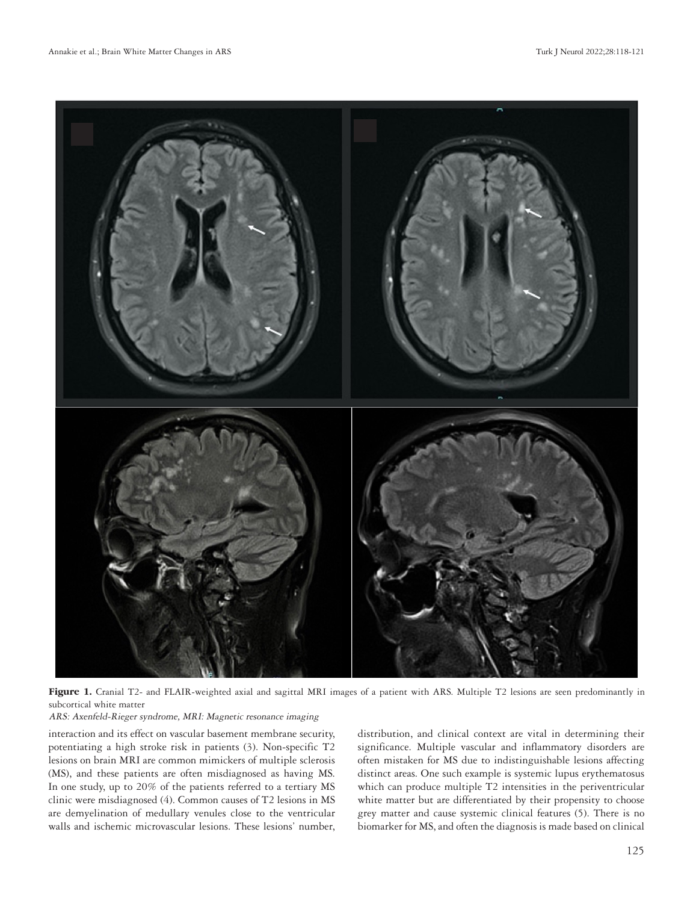

Figure 1. Cranial T2- and FLAIR-weighted axial and sagittal MRI images of a patient with ARS. Multiple T2 lesions are seen predominantly in subcortical white matter

## ARS: Axenfeld-Rieger syndrome, MRI: Magnetic resonance imaging

interaction and its effect on vascular basement membrane security, potentiating a high stroke risk in patients (3). Non-specific T2 lesions on brain MRI are common mimickers of multiple sclerosis (MS), and these patients are often misdiagnosed as having MS. In one study, up to 20% of the patients referred to a tertiary MS clinic were misdiagnosed (4). Common causes of T2 lesions in MS are demyelination of medullary venules close to the ventricular walls and ischemic microvascular lesions. These lesions' number, distribution, and clinical context are vital in determining their significance. Multiple vascular and inflammatory disorders are often mistaken for MS due to indistinguishable lesions affecting distinct areas. One such example is systemic lupus erythematosus which can produce multiple T2 intensities in the periventricular white matter but are differentiated by their propensity to choose grey matter and cause systemic clinical features (5). There is no biomarker for MS, and often the diagnosis is made based on clinical